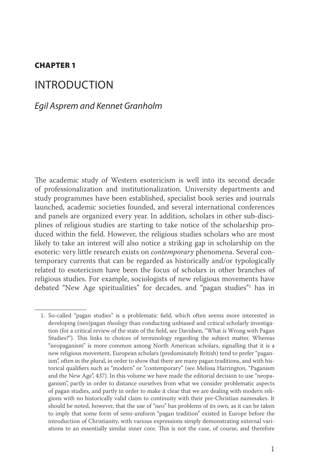# **CHAPTER 1**

# INTRODUCTION

# *Egil Asprem and Kennet Granholm*

The academic study of Western esotericism is well into its second decade of professionalization and institutionalization. University departments and study programmes have been established, specialist book series and journals launched, academic societies founded, and several international conferences and panels are organized every year. In addition, scholars in other sub-disciplines of religious studies are starting to take notice of the scholarship produced within the field. However, the religious studies scholars who are most likely to take an interest will also notice a striking gap in scholarship on the esoteric: very little research exists on *contemporary* phenomena. Several contemporary currents that can be regarded as historically and/or typologically related to esotericism have been the focus of scholars in other branches of religious studies. For example, sociologists of new religious movements have debated "New Age spiritualities" for decades, and "pagan studies"1 has in

 <sup>1.</sup> So-called "pagan studies" is a problematic field, which often seems more interested in developing (neo)pagan *theology* than conducting unbiased and critical scholarly investigation (for a critical review of the state of the field, see Davidsen, "What is Wrong with Pagan Studies?"). This links to choices of terminology regarding the subject matter. Whereas "neopaganism" is more common among North American scholars, signalling that it is a new religious movement, European scholars (predominately British) tend to prefer "paganism", often in the plural, in order to show that there are many pagan traditions, and with historical qualifiers such as "modern" or "contemporary" (see Melissa Harrington, "Paganism and the New Age", 437). In this volume we have made the editorial decision to use "neopaganism", partly in order to distance ourselves from what we consider problematic aspects of pagan studies, and partly in order to make it clear that we are dealing with modern religions with no historically valid claim to continuity with their pre-Christian namesakes. It should be noted, however, that the use of "neo" has problems of its own, as it can be taken to imply that some form of semi-uniform "pagan tradition" existed in Europe before the introduction of Christianity, with various expressions simply demonstrating external variations to an essentially similar inner core. This is not the case, of course, and therefore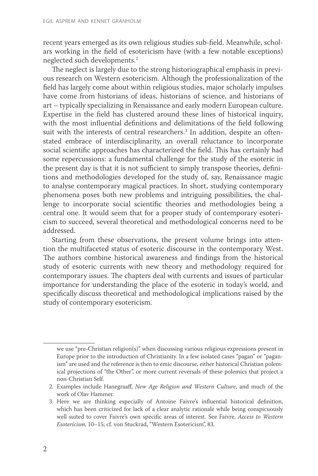recent years emerged as its own religious studies sub-field. Meanwhile, scholars working in the field of esotericism have (with a few notable exceptions) neglected such developments.2

The neglect is largely due to the strong historiographical emphasis in previous research on Western esotericism. Although the professionalization of the field has largely come about within religious studies, major scholarly impulses have come from historians of ideas, historians of science, and historians of art – typically specializing in Renaissance and early modern European culture. Expertise in the field has clustered around these lines of historical inquiry, with the most influential definitions and delimitations of the field following suit with the interests of central researchers.<sup>3</sup> In addition, despite an oftenstated embrace of interdisciplinarity, an overall reluctance to incorporate social scientific approaches has characterized the field. This has certainly had some repercussions: a fundamental challenge for the study of the esoteric in the present day is that it is not sufficient to simply transpose theories, definitions and methodologies developed for the study of, say, Renaissance magic to analyse contemporary magical practices. In short, studying contemporary phenomena poses both new problems and intriguing possibilities, the challenge to incorporate social scientific theories and methodologies being a central one. It would seem that for a proper study of contemporary esotericism to succeed, several theoretical and methodological concerns need to be addressed.

Starting from these observations, the present volume brings into attention the multifaceted status of esoteric discourse in the contemporary West. The authors combine historical awareness and findings from the historical study of esoteric currents with new theory and methodology required for contemporary issues. The chapters deal with currents and issues of particular importance for understanding the place of the esoteric in today's world, and specifically discuss theoretical and methodological implications raised by the study of contemporary esotericism.

we use "pre-Christian religion(s)" when discussing various religious expressions present in Europe prior to the introduction of Christianity. In a few isolated cases "pagan" or "paganism" are used and the reference is then to emic discourse, either historical Christian polemical projections of "the Other", or more current reversals of these polemics that project a non-Christian Self.

 <sup>2.</sup> Examples include Hanegraaff, *New Age Religion and Western Culture*, and much of the work of Olav Hammer.

 <sup>3.</sup> Here we are thinking especially of Antoine Faivre's influential historical definition, which has been criticized for lack of a clear analytic rationale while being conspicuously well suited to cover Faivre's own specific areas of interest. See Faivre, *Access to Western Esotericism*, 10–15; cf. von Stuckrad, "Western Esotericism", 83.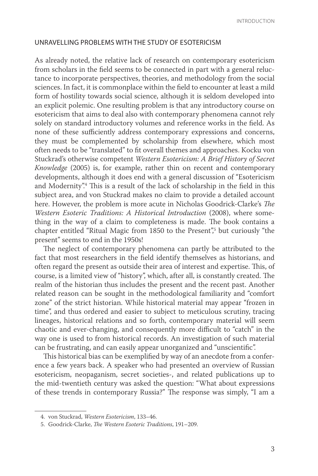### UNRAVELLING PROBLEMS WITH THE STUDY OF ESOTERICISM

As already noted, the relative lack of research on contemporary esotericism from scholars in the field seems to be connected in part with a general reluctance to incorporate perspectives, theories, and methodology from the social sciences. In fact, it is commonplace within the field to encounter at least a mild form of hostility towards social science, although it is seldom developed into an explicit polemic. One resulting problem is that any introductory course on esotericism that aims to deal also with contemporary phenomena cannot rely solely on standard introductory volumes and reference works in the field. As none of these sufficiently address contemporary expressions and concerns, they must be complemented by scholarship from elsewhere, which most often needs to be "translated" to fit overall themes and approaches. Kocku von Stuckrad's otherwise competent *Western Esotericism: A Brief History of Secret Knowledge* (2005) is, for example, rather thin on recent and contemporary developments, although it does end with a general discussion of "Esotericism and Modernity".4 This is a result of the lack of scholarship in the field in this subject area, and von Stuckrad makes no claim to provide a detailed account here. However, the problem is more acute in Nicholas Goodrick-Clarke's *The Western Esoteric Traditions: A Historical Introduction* (2008), where something in the way of a claim to completeness is made. The book contains a chapter entitled "Ritual Magic from 1850 to the Present",<sup>5</sup> but curiously "the present" seems to end in the 1950s!

The neglect of contemporary phenomena can partly be attributed to the fact that most researchers in the field identify themselves as historians, and often regard the present as outside their area of interest and expertise. This, of course, is a limited view of "history", which, after all, is constantly created. The realm of the historian thus includes the present and the recent past. Another related reason can be sought in the methodological familiarity and "comfort zone" of the strict historian. While historical material may appear "frozen in time", and thus ordered and easier to subject to meticulous scrutiny, tracing lineages, historical relations and so forth, contemporary material will seem chaotic and ever-changing, and consequently more difficult to "catch" in the way one is used to from historical records. An investigation of such material can be frustrating, and can easily appear unorganized and "unscientific".

This historical bias can be exemplified by way of an anecdote from a conference a few years back. A speaker who had presented an overview of Russian esotericism, neopaganism, secret societies-, and related publications up to the mid-twentieth century was asked the question: "What about expressions of these trends in contemporary Russia?" The response was simply, "I am a

 <sup>4.</sup> von Stuckrad, *Western Esotericism*, 133–46.

 <sup>5.</sup> Goodrick-Clarke, *The Western Esoteric Traditions*, 191–209.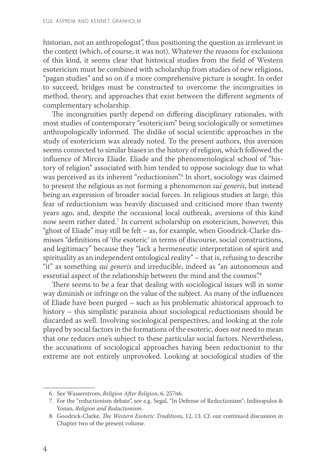historian, not an anthropologist", thus positioning the question as irrelevant in the context (which, of course, it was not). Whatever the reasons for exclusions of this kind, it seems clear that historical studies from the field of Western esotericism must be combined with scholarship from studies of new religions, "pagan studies" and so on if a more comprehensive picture is sought. In order to succeed, bridges must be constructed to overcome the incongruities in method, theory, and approaches that exist between the different segments of complementary scholarship.

The incongruities partly depend on differing disciplinary rationales, with most studies of contemporary "esotericism" being sociologically or sometimes anthropologically informed. The dislike of social scientific approaches in the study of esotericism was already noted. To the present authors, this aversion seems connected to similar biases in the history of religion, which followed the influence of Mircea Eliade. Eliade and the phenomenological school of "history of religion" associated with him tended to oppose sociology due to what was perceived as its inherent "reductionism".6 In short, sociology was claimed to present the religious as not forming a phenomenon *sui generis*, but instead being an expression of broader social forces. In religious studies at large, this fear of reductionism was heavily discussed and criticised more than twenty years ago, and, despite the occasional local outbreak, aversions of this kind now seem rather dated.7 In current scholarship on esotericism, however, this "ghost of Eliade" may still be felt – as, for example, when Goodrick-Clarke dismisses "definitions of 'the esoteric' in terms of discourse, social constructions, and legitimacy" because they "lack a hermeneutic interpretation of spirit and spirituality as an independent ontological reality" – that is, refusing to describe "it" as something *sui generis* and irreducible, indeed as "an autonomous and essential aspect of the relationship between the mind and the cosmos".<sup>8</sup>

There seems to be a fear that dealing with sociological issues will in some way diminish or infringe on the value of the subject. As many of the influences of Eliade have been purged – such as his problematic ahistorical approach to history – this simplistic paranoia about sociological reductionism should be discarded as well. Involving sociological perspectives, and looking at the role played by social factors in the formations of the esoteric, does *not* need to mean that one reduces one's subject to these particular social factors. Nevertheless, the accusations of sociological approaches having been reductionist to the extreme are not entirely unprovoked. Looking at sociological studies of the

 <sup>6.</sup> See Wasserstrom, *Religion After Religion*, 6, 257n6.

 <sup>7.</sup> For the "reductionism debate", see e.g. Segal, "In Defense of Reductionism"; Indinopulos & Yonan, *Religion and Reductionism*.

 <sup>8.</sup> Goodrick-Clarke, *The Western Esoteric Traditions*, 12, 13. Cf. our continued discussion in Chapter two of the present volume.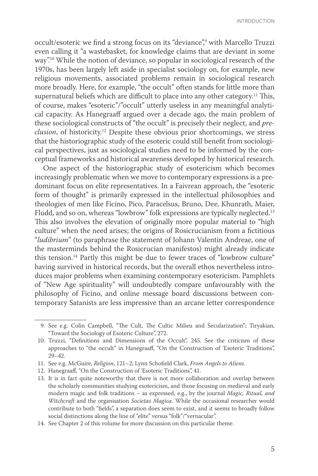occult/esoteric we find a strong focus on its "deviance", with Marcello Truzzi even calling it "a wastebasket, for knowledge claims that are deviant in some way".10 While the notion of deviance, so popular in sociological research of the 1970s, has been largely left aside in specialist sociology on, for example, new religious movements, associated problems remain in sociological research more broadly. Here, for example, "the occult" often stands for little more than supernatural beliefs which are difficult to place into any other category.<sup>11</sup> This, of course, makes "esoteric"/"occult" utterly useless in any meaningful analytical capacity. As Hanegraaff argued over a decade ago, the main problem of these sociological constructs of "the occult" is precisely their neglect, and *preclusion*, of historicity.12 Despite these obvious prior shortcomings, we stress that the historiographic study of the esoteric could still benefit from sociological perspectives, just as sociological studies need to be informed by the conceptual frameworks and historical awareness developed by historical research.

One aspect of the historiographic study of esotericism which becomes increasingly problematic when we move to contemporary expressions is a predominant focus on elite representatives. In a Faivrean approach, the "esoteric form of thought" is primarily expressed in the intellectual philosophies and theologies of men like Ficino, Pico, Paracelsus, Bruno, Dee, Khunrath, Maier, Fludd, and so on, whereas "lowbrow" folk expressions are typically neglected.<sup>13</sup> This also involves the elevation of originally more popular material to "high culture" when the need arises; the origins of Rosicrucianism from a fictitious "*ludibrium*" (to paraphrase the statement of Johann Valentin Andreae, one of the masterminds behind the Rosicrucian manifestos) might already indicate this tension.<sup>14</sup> Partly this might be due to fewer traces of "lowbrow culture" having survived in historical records, but the overall ethos nevertheless introduces major problems when examining contemporary esotericism. Pamphlets of "New Age spirituality" will undoubtedly compare unfavourably with the philosophy of Ficino, and online message board discussions between contemporary Satanists are less impressive than an arcane letter correspondence

 <sup>9.</sup> See e.g. Colin Campbell, "The Cult, The Cultic Milieu and Secularization"; Tiryakian, "Toward the Sociology of Esoteric Culture", 272.

<sup>10.</sup> Truzzi, "Definitions and Dimensions of the Occult", 245. See the criticism of these approaches to "the occult" in Hanegraaff, "On the Construction of 'Esoteric Traditions", 29–42.

<sup>11.</sup> See e.g. McGuire, *Religion*, 121–2; Lynn Schofield Clark, *From Angels to Aliens*.

<sup>12.</sup> Hanegraaff, "On the Construction of 'Esoteric Traditions", 41.

<sup>13.</sup> It is in fact quite noteworthy that there is not more collaboration and overlap between the scholarly communities studying esotericism, and those focusing on medieval and early modern magic and folk traditions – as expressed, e.g., by the journal *Magic, Ritual, and Witchcraft* and the organisation *Societas Magica*. While the occasional researcher would contribute to both "fields", a separation does seem to exist, and it seems to broadly follow social distinctions along the line of "elite" versus "folk"/"vernacular".

<sup>14.</sup> See Chapter 2 of this volume for more discussion on this particular theme.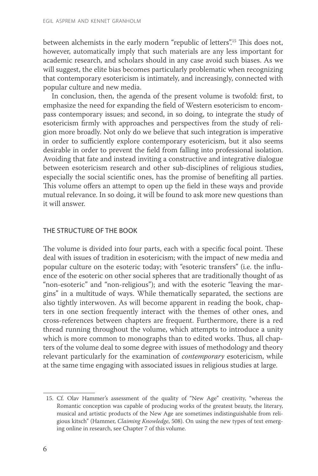between alchemists in the early modern "republic of letters".15 This does not, however, automatically imply that such materials are any less important for academic research, and scholars should in any case avoid such biases. As we will suggest, the elite bias becomes particularly problematic when recognizing that contemporary esotericism is intimately, and increasingly, connected with popular culture and new media.

In conclusion, then, the agenda of the present volume is twofold: first, to emphasize the need for expanding the field of Western esotericism to encompass contemporary issues; and second, in so doing, to integrate the study of esotericism firmly with approaches and perspectives from the study of religion more broadly. Not only do we believe that such integration is imperative in order to sufficiently explore contemporary esotericism, but it also seems desirable in order to prevent the field from falling into professional isolation. Avoiding that fate and instead inviting a constructive and integrative dialogue between esotericism research and other sub-disciplines of religious studies, especially the social scientific ones, has the promise of benefiting all parties. This volume offers an attempt to open up the field in these ways and provide mutual relevance. In so doing, it will be found to ask more new questions than it will answer.

## THE STRUCTURE OF THE BOOK

The volume is divided into four parts, each with a specific focal point. These deal with issues of tradition in esotericism; with the impact of new media and popular culture on the esoteric today; with "esoteric transfers" (i.e. the influence of the esoteric on other social spheres that are traditionally thought of as "non-esoteric" and "non-religious"); and with the esoteric "leaving the margins" in a multitude of ways. While thematically separated, the sections are also tightly interwoven. As will become apparent in reading the book, chapters in one section frequently interact with the themes of other ones, and cross-references between chapters are frequent. Furthermore, there is a red thread running throughout the volume, which attempts to introduce a unity which is more common to monographs than to edited works. Thus, all chapters of the volume deal to some degree with issues of methodology and theory relevant particularly for the examination of *contemporary* esotericism, while at the same time engaging with associated issues in religious studies at large.

<sup>15.</sup> Cf. Olav Hammer's assessment of the quality of "New Age" creativity, "whereas the Romantic conception was capable of producing works of the greatest beauty, the literary, musical and artistic products of the New Age are sometimes indistinguishable from religious kitsch" (Hammer, *Claiming Knowledge*, 508). On using the new types of text emerging online in research, see Chapter 7 of this volume.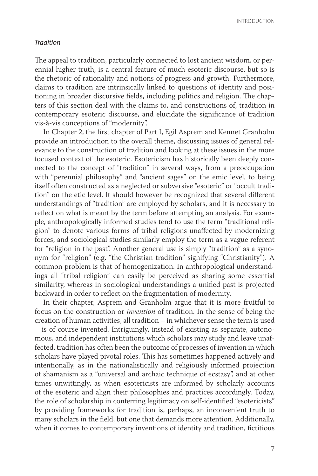#### *Tradition*

The appeal to tradition, particularly connected to lost ancient wisdom, or perennial higher truth, is a central feature of much esoteric discourse, but so is the rhetoric of rationality and notions of progress and growth. Furthermore, claims to tradition are intrinsically linked to questions of identity and positioning in broader discursive fields, including politics and religion. The chapters of this section deal with the claims to, and constructions of, tradition in contemporary esoteric discourse, and elucidate the significance of tradition vis-à-vis conceptions of "modernity".

In Chapter 2, the first chapter of Part I, Egil Asprem and Kennet Granholm provide an introduction to the overall theme, discussing issues of general relevance to the construction of tradition and looking at these issues in the more focused context of the esoteric. Esotericism has historically been deeply connected to the concept of "tradition" in several ways, from a preoccupation with "perennial philosophy" and "ancient sages" on the emic level, to being itself often constructed as a neglected or subversive "esoteric" or "occult tradition" on the etic level. It should however be recognized that several different understandings of "tradition" are employed by scholars, and it is necessary to reflect on what is meant by the term before attempting an analysis. For example, anthropologically informed studies tend to use the term "traditional religion" to denote various forms of tribal religions unaffected by modernizing forces, and sociological studies similarly employ the term as a vague referent for "religion in the past". Another general use is simply "tradition" as a synonym for "religion" (e.g. "the Christian tradition" signifying "Christianity"). A common problem is that of homogenization. In anthropological understandings all "tribal religion" can easily be perceived as sharing some essential similarity, whereas in sociological understandings a unified past is projected backward in order to reflect on the fragmentation of modernity.

In their chapter, Asprem and Granholm argue that it is more fruitful to focus on the construction or *invention* of tradition. In the sense of being the creation of human activities, all tradition – in whichever sense the term is used – is of course invented. Intriguingly, instead of existing as separate, autonomous, and independent institutions which scholars may study and leave unaffected, tradition has often been the outcome of processes of invention in which scholars have played pivotal roles. This has sometimes happened actively and intentionally, as in the nationalistically and religiously informed projection of shamanism as a "universal and archaic technique of ecstasy", and at other times unwittingly, as when esotericists are informed by scholarly accounts of the esoteric and align their philosophies and practices accordingly. Today, the role of scholarship in conferring legitimacy on self-identified "esotericists" by providing frameworks for tradition is, perhaps, an inconvenient truth to many scholars in the field, but one that demands more attention. Additionally, when it comes to contemporary inventions of identity and tradition, fictitious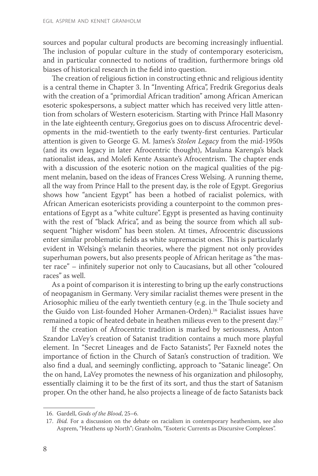sources and popular cultural products are becoming increasingly influential. The inclusion of popular culture in the study of contemporary esotericism, and in particular connected to notions of tradition, furthermore brings old biases of historical research in the field into question.

The creation of religious fiction in constructing ethnic and religious identity is a central theme in Chapter 3. In "Inventing Africa", Fredrik Gregorius deals with the creation of a "primordial African tradition" among African American esoteric spokespersons, a subject matter which has received very little attention from scholars of Western esotericism. Starting with Prince Hall Masonry in the late eighteenth century, Gregorius goes on to discuss Afrocentric developments in the mid-twentieth to the early twenty-first centuries. Particular attention is given to George G. M. James's *Stolen Legacy* from the mid-1950s (and its own legacy in later Afrocentric thought), Maulana Karenga's black nationalist ideas, and Molefi Kente Assante's Afrocentrism. The chapter ends with a discussion of the esoteric notion on the magical qualities of the pigment melanin, based on the ideas of Frances Cress Welsing. A running theme, all the way from Prince Hall to the present day, is the role of Egypt. Gregorius shows how "ancient Egypt" has been a hotbed of racialist polemics, with African American esotericists providing a counterpoint to the common presentations of Egypt as a "white culture". Egypt is presented as having continuity with the rest of "black Africa", and as being the source from which all subsequent "higher wisdom" has been stolen. At times, Afrocentric discussions enter similar problematic fields as white supremacist ones. This is particularly evident in Welsing's melanin theories, where the pigment not only provides superhuman powers, but also presents people of African heritage as "the master race" – infinitely superior not only to Caucasians, but all other "coloured races" as well.

As a point of comparison it is interesting to bring up the early constructions of neopaganism in Germany. Very similar racialist themes were present in the Ariosophic milieu of the early twentieth century (e.g. in the Thule society and the Guido von List-founded Hoher Armanen-Orden).<sup>16</sup> Racialist issues have remained a topic of heated debate in heathen milieus even to the present day.<sup>17</sup>

If the creation of Afrocentric tradition is marked by seriousness, Anton Szandor LaVey's creation of Satanist tradition contains a much more playful element. In "Secret Lineages and de Facto Satanists", Per Faxneld notes the importance of fiction in the Church of Satan's construction of tradition. We also find a dual, and seemingly conflicting, approach to "Satanic lineage". On the on hand, LaVey promotes the newness of his organization and philosophy, essentially claiming it to be the first of its sort, and thus the start of Satanism proper. On the other hand, he also projects a lineage of de facto Satanists back

<sup>16.</sup> Gardell, *Gods of the Blood*, 25–6.

<sup>17.</sup> *Ibid.* For a discussion on the debate on racialism in contemporary heathenism, see also Asprem, "Heathens up North"; Granholm, "Esoteric Currents as Discursive Complexes".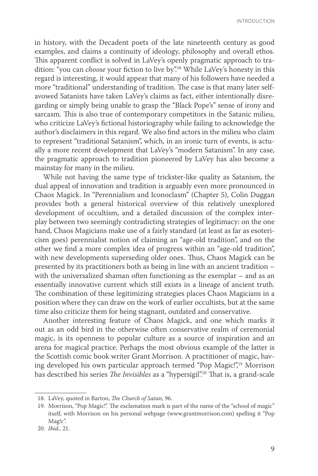in history, with the Decadent poets of the late nineteenth century as good examples, and claims a continuity of ideology, philosophy and overall ethos. This apparent conflict is solved in LaVey's openly pragmatic approach to tradition: "you can *choose* your fiction to live by".18 While LaVey's honesty in this regard is interesting, it would appear that many of his followers have needed a more "traditional" understanding of tradition. The case is that many later selfavowed Satanists have taken LaVey's claims as fact, either intentionally disregarding or simply being unable to grasp the "Black Pope's" sense of irony and sarcasm. This is also true of contemporary competitors in the Satanic milieu, who criticize LaVey's fictional historiography while failing to acknowledge the author's disclaimers in this regard. We also find actors in the milieu who claim to represent "traditional Satanism", which, in an ironic turn of events, is actually a more recent development that LaVey's "modern Satanism". In any case, the pragmatic approach to tradition pioneered by LaVey has also become a mainstay for many in the milieu.

While not having the same type of trickster-like quality as Satanism, the dual appeal of innovation and tradition is arguably even more pronounced in Chaos Magick. In "Perennialism and Iconoclasm" (Chapter 5), Colin Duggan provides both a general historical overview of this relatively unexplored development of occultism, and a detailed discussion of the complex interplay between two seemingly contradicting strategies of legitimacy: on the one hand, Chaos Magicians make use of a fairly standard (at least as far as esotericism goes) perennialist notion of claiming an "age-old tradition", and on the other we find a more complex idea of progress within an "age-old tradition", with new developments superseding older ones. Thus, Chaos Magick can be presented by its practitioners both as being in line with an ancient tradition – with the universalized shaman often functioning as the exemplar – and as an essentially innovative current which still exists in a lineage of ancient truth. The combination of these legitimizing strategies places Chaos Magicians in a position where they can draw on the work of earlier occultists, but at the same time also criticize them for being stagnant, outdated and conservative.

Another interesting feature of Chaos Magick, and one which marks it out as an odd bird in the otherwise often conservative realm of ceremonial magic, is its openness to popular culture as a source of inspiration and an arena for magical practice. Perhaps the most obvious example of the latter is the Scottish comic book writer Grant Morrison. A practitioner of magic, having developed his own particular approach termed "Pop Magic!",<sup>19</sup> Morrison has described his series *The Invisibles* as a "hypersigil".20 That is, a grand-scale

<sup>18.</sup> LaVey, quoted in Barton, *The Church of Satan*, 96.

<sup>19.</sup> Morrison, "Pop Magic!". The exclamation mark is part of the name of the "school of magic" itself, with Morrison on his personal webpage (www.grantmorrison.com) spelling it "Pop Mag!c".

<sup>20.</sup> *Ibid.*, 21.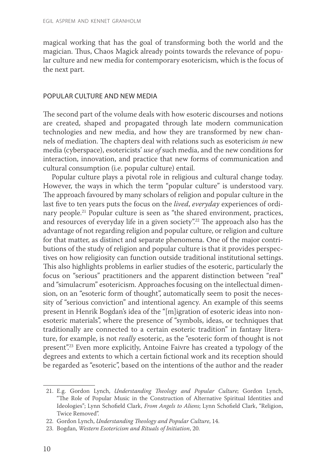magical working that has the goal of transforming both the world and the magician. Thus, Chaos Magick already points towards the relevance of popular culture and new media for contemporary esotericism, which is the focus of the next part.

#### Popular culture and new media

The second part of the volume deals with how esoteric discourses and notions are created, shaped and propagated through late modern communication technologies and new media, and how they are transformed by new channels of mediation. The chapters deal with relations such as esotericism *in* new media (cyberspace), esotericists' *use of* such media, and the new conditions for interaction, innovation, and practice that new forms of communication and cultural consumption (i.e. popular culture) entail.

Popular culture plays a pivotal role in religious and cultural change today. However, the ways in which the term "popular culture" is understood vary. The approach favoured by many scholars of religion and popular culture in the last five to ten years puts the focus on the *lived*, *everyday* experiences of ordinary people.<sup>21</sup> Popular culture is seen as "the shared environment, practices, and resources of everyday life in a given society".<sup>22</sup> The approach also has the advantage of not regarding religion and popular culture, or religion and culture for that matter, as distinct and separate phenomena. One of the major contributions of the study of religion and popular culture is that it provides perspectives on how religiosity can function outside traditional institutional settings. This also highlights problems in earlier studies of the esoteric, particularly the focus on "serious" practitioners and the apparent distinction between "real" and "simulacrum" esotericism. Approaches focusing on the intellectual dimension, on an "esoteric form of thought", automatically seem to posit the necessity of "serious conviction" and intentional agency. An example of this seems present in Henrik Bogdan's idea of the "[m]igration of esoteric ideas into nonesoteric materials", where the presence of "symbols, ideas, or techniques that traditionally are connected to a certain esoteric tradition" in fantasy literature, for example, is not *really* esoteric, as the "esoteric form of thought is not present".23 Even more explicitly, Antoine Faivre has created a typology of the degrees and extents to which a certain fictional work and its reception should be regarded as "esoteric", based on the intentions of the author and the reader

<sup>21.</sup> E.g. Gordon Lynch, *Understanding Theology and Popular Culture*; Gordon Lynch, "The Role of Popular Music in the Construction of Alternative Spiritual Identities and Ideologies"; Lynn Schofield Clark, *From Angels to Aliens*; Lynn Schofield Clark, "Religion, Twice Removed".

<sup>22.</sup> Gordon Lynch, *Understanding Theology and Popular Culture*, 14.

<sup>23.</sup> Bogdan, *Western Esotericism and Rituals of Initiation*, 20.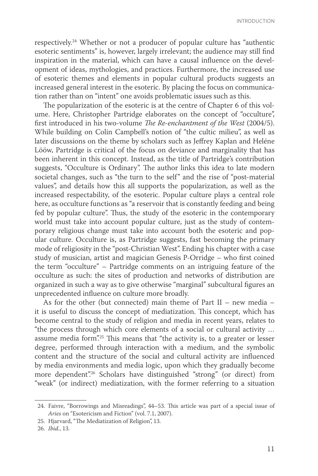respectively.24 Whether or not a producer of popular culture has "authentic esoteric sentiments" is, however, largely irrelevant; the audience may still find inspiration in the material, which can have a causal influence on the development of ideas, mythologies, and practices. Furthermore, the increased use of esoteric themes and elements in popular cultural products suggests an increased general interest in the esoteric. By placing the focus on communication rather than on "intent" one avoids problematic issues such as this.

The popularization of the esoteric is at the centre of Chapter 6 of this volume. Here, Christopher Partridge elaborates on the concept of "occulture", first introduced in his two-volume *The Re-enchantment of the West* (2004/5). While building on Colin Campbell's notion of "the cultic milieu", as well as later discussions on the theme by scholars such as Jeffrey Kaplan and Heléne Lööw, Partridge is critical of the focus on deviance and marginality that has been inherent in this concept. Instead, as the title of Partridge's contribution suggests, "Occulture is Ordinary". The author links this idea to late modern societal changes, such as "the turn to the self" and the rise of "post-material values", and details how this all supports the popularization, as well as the increased respectability, of the esoteric. Popular culture plays a central role here, as occulture functions as "a reservoir that is constantly feeding and being fed by popular culture". Thus, the study of the esoteric in the contemporary world must take into account popular culture, just as the study of contemporary religious change must take into account both the esoteric and popular culture. Occulture is, as Partridge suggests, fast becoming the primary mode of religiosity in the "post-Christian West". Ending his chapter with a case study of musician, artist and magician Genesis P-Orridge – who first coined the term "occulture" – Partridge comments on an intriguing feature of the occulture as such: the sites of production and networks of distribution are organized in such a way as to give otherwise "marginal" subcultural figures an unprecedented influence on culture more broadly.

As for the other (but connected) main theme of Part II – new media – it is useful to discuss the concept of mediatization. This concept, which has become central to the study of religion and media in recent years, relates to "the process through which core elements of a social or cultural activity … assume media form".<sup>25</sup> This means that "the activity is, to a greater or lesser degree, performed through interaction with a medium, and the symbolic content and the structure of the social and cultural activity are influenced by media environments and media logic, upon which they gradually become more dependent".<sup>26</sup> Scholars have distinguished "strong" (or direct) from "weak" (or indirect) mediatization, with the former referring to a situation

<sup>24.</sup> Faivre, "Borrowings and Misreadings", 44–53. This article was part of a special issue of *Aries* on "Esotericism and Fiction" (vol. 7.1, 2007).

<sup>25.</sup> Hjarvard, "The Mediatization of Religion", 13.

<sup>26.</sup> *Ibid.*, 13.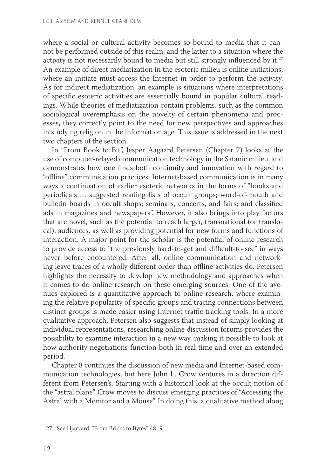where a social or cultural activity becomes so bound to media that it cannot be performed outside of this realm, and the latter to a situation where the activity is not necessarily bound to media but still strongly influenced by it. $27$ An example of direct mediatization in the esoteric milieu is online initiations, where an initiate must access the Internet in order to perform the activity. As for indirect mediatization, an example is situations where interpretations of specific esoteric activities are essentially bound in popular cultural readings. While theories of mediatization contain problems, such as the common sociological overemphasis on the novelty of certain phenomena and processes, they correctly point to the need for new perspectives and approaches in studying religion in the information age. This issue is addressed in the next two chapters of the section.

In "From Book to Bit", Jesper Aagaard Petersen (Chapter 7) looks at the use of computer-relayed communication technology in the Satanic milieu, and demonstrates how one finds both continuity and innovation with regard to "offline" communication practices. Internet-based communication is in many ways a continuation of earlier esoteric networks in the forms of "books and periodicals … suggested reading lists of occult groups; word-of-mouth and bulletin boards in occult shops; seminars, concerts, and fairs; and classified ads in magazines and newspapers". However, it also brings into play factors that are novel, such as the potential to reach larger, transnational (or translocal), audiences, as well as providing potential for new forms and functions of interaction. A major point for the scholar is the potential of online research to provide access to "the previously hard-to-get and difficult-to-see" in ways never before encountered. After all, online communication and networking leave traces of a wholly different order than offline activities do. Petersen highlights the necessity to develop new methodology and approaches when it comes to do online research on these emerging sources. One of the avenues explored is a quantitative approach to online research, where examining the relative popularity of specific groups and tracing connections between distinct groups is made easier using Internet traffic tracking tools. In a more qualitative approach, Petersen also suggests that instead of simply looking at individual representations, researching online discussion forums provides the possibility to examine interaction in a new way, making it possible to look at how authority negotiations function both in real time and over an extended period.

Chapter 8 continues the discussion of new media and Internet-based communication technologies, but here John L. Crow ventures in a direction different from Petersen's. Starting with a historical look at the occult notion of the "astral plane", Crow moves to discuss emerging practices of "Accessing the Astral with a Monitor and a Mouse". In doing this, a qualitative method along

<sup>27.</sup> See Hjarvard, "From Bricks to Bytes", 48–9.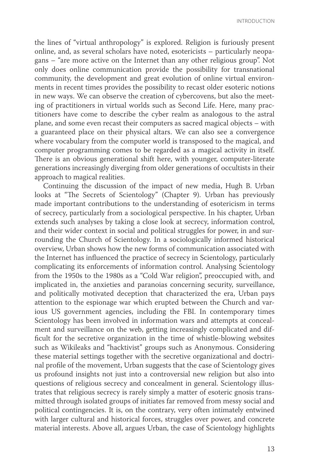the lines of "virtual anthropology" is explored. Religion is furiously present online, and, as several scholars have noted, esotericists – particularly neopagans – "are more active on the Internet than any other religious group". Not only does online communication provide the possibility for transnational community, the development and great evolution of online virtual environments in recent times provides the possibility to recast older esoteric notions in new ways. We can observe the creation of cybercovens, but also the meeting of practitioners in virtual worlds such as Second Life. Here, many practitioners have come to describe the cyber realm as analogous to the astral plane, and some even recast their computers as sacred magical objects – with a guaranteed place on their physical altars. We can also see a convergence where vocabulary from the computer world is transposed to the magical, and computer programming comes to be regarded as a magical activity in itself. There is an obvious generational shift here, with younger, computer-literate generations increasingly diverging from older generations of occultists in their approach to magical realities.

Continuing the discussion of the impact of new media, Hugh B. Urban looks at "The Secrets of Scientology" (Chapter 9). Urban has previously made important contributions to the understanding of esotericism in terms of secrecy, particularly from a sociological perspective. In his chapter, Urban extends such analyses by taking a close look at secrecy, information control, and their wider context in social and political struggles for power, in and surrounding the Church of Scientology. In a sociologically informed historical overview, Urban shows how the new forms of communication associated with the Internet has influenced the practice of secrecy in Scientology, particularly complicating its enforcements of information control. Analysing Scientology from the 1950s to the 1980s as a "Cold War religion", preoccupied with, and implicated in, the anxieties and paranoias concerning security, surveillance, and politically motivated deception that characterized the era, Urban pays attention to the espionage war which erupted between the Church and various US government agencies, including the FBI. In contemporary times Scientology has been involved in information wars and attempts at concealment and surveillance on the web, getting increasingly complicated and difficult for the secretive organization in the time of whistle-blowing websites such as Wikileaks and "hacktivist" groups such as Anonymous. Considering these material settings together with the secretive organizational and doctrinal profile of the movement, Urban suggests that the case of Scientology gives us profound insights not just into a controversial new religion but also into questions of religious secrecy and concealment in general. Scientology illustrates that religious secrecy is rarely simply a matter of esoteric gnosis transmitted through isolated groups of initiates far removed from messy social and political contingencies. It is, on the contrary, very often intimately entwined with larger cultural and historical forces, struggles over power, and concrete material interests. Above all, argues Urban, the case of Scientology highlights

13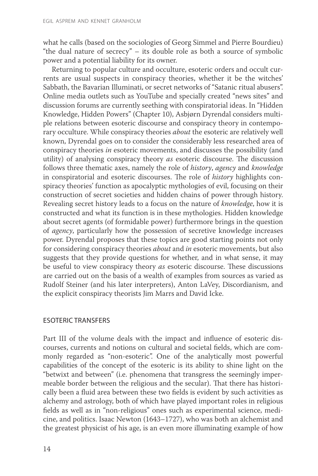what he calls (based on the sociologies of Georg Simmel and Pierre Bourdieu) "the dual nature of secrecy" – its double role as both a source of symbolic power and a potential liability for its owner.

Returning to popular culture and occulture, esoteric orders and occult currents are usual suspects in conspiracy theories, whether it be the witches' Sabbath, the Bavarian Illuminati, or secret networks of "Satanic ritual abusers". Online media outlets such as YouTube and specially created "news sites" and discussion forums are currently seething with conspiratorial ideas. In "Hidden Knowledge, Hidden Powers" (Chapter 10), Asbjørn Dyrendal considers multiple relations between esoteric discourse and conspiracy theory in contemporary occulture. While conspiracy theories *about* the esoteric are relatively well known, Dyrendal goes on to consider the considerably less researched area of conspiracy theories *in* esoteric movements, and discusses the possibility (and utility) of analysing conspiracy theory *as* esoteric discourse. The discussion follows three thematic axes, namely the role of *history*, *agency* and *knowledge*  in conspiratorial and esoteric discourses. The role of *history* highlights conspiracy theories' function as apocalyptic mythologies of evil, focusing on their construction of secret societies and hidden chains of power through history. Revealing secret history leads to a focus on the nature of *knowledge*, how it is constructed and what its function is in these mythologies. Hidden knowledge about secret agents (of formidable power) furthermore brings in the question of *agency*, particularly how the possession of secretive knowledge increases power. Dyrendal proposes that these topics are good starting points not only for considering conspiracy theories *about* and *in* esoteric movements, but also suggests that they provide questions for whether, and in what sense, it may be useful to view conspiracy theory *as* esoteric discourse. These discussions are carried out on the basis of a wealth of examples from sources as varied as Rudolf Steiner (and his later interpreters), Anton LaVey, Discordianism, and the explicit conspiracy theorists Jim Marrs and David Icke.

## Esoteric transfers

Part III of the volume deals with the impact and influence of esoteric discourses, currents and notions on cultural and societal fields, which are commonly regarded as "non-esoteric". One of the analytically most powerful capabilities of the concept of the esoteric is its ability to shine light on the "betwixt and between" (i.e. phenomena that transgress the seemingly impermeable border between the religious and the secular). That there has historically been a fluid area between these two fields is evident by such activities as alchemy and astrology, both of which have played important roles in religious fields as well as in "non-religious" ones such as experimental science, medicine, and politics. Isaac Newton (1643–1727), who was both an alchemist and the greatest physicist of his age, is an even more illuminating example of how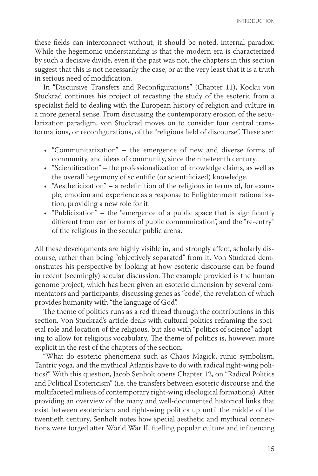these fields can interconnect without, it should be noted, internal paradox. While the hegemonic understanding is that the modern era is characterized by such a decisive divide, even if the past was not, the chapters in this section suggest that this is not necessarily the case, or at the very least that it is a truth in serious need of modification.

In "Discursive Transfers and Reconfigurations" (Chapter 11), Kocku von Stuckrad continues his project of recasting the study of the esoteric from a specialist field to dealing with the European history of religion and culture in a more general sense. From discussing the contemporary erosion of the secularization paradigm, von Stuckrad moves on to consider four central transformations, or reconfigurations, of the "religious field of discourse". These are:

- "Communitarization" the emergence of new and diverse forms of community, and ideas of community, since the nineteenth century.
- "Scientification" the professionalization of knowledge claims, as well as the overall hegemony of scientific (or scientificized) knowledge.
- "Aestheticization" a redefinition of the religious in terms of, for example, emotion and experience as a response to Enlightenment rationalization, providing a new role for it.
- "Publicization" the "emergence of a public space that is significantly different from earlier forms of public communication", and the "re-entry" of the religious in the secular public arena.

All these developments are highly visible in, and strongly affect, scholarly discourse, rather than being "objectively separated" from it. Von Stuckrad demonstrates his perspective by looking at how esoteric discourse can be found in recent (seemingly) secular discussion. The example provided is the human genome project, which has been given an esoteric dimension by several commentators and participants, discussing genes as "code", the revelation of which provides humanity with "the language of God".

The theme of politics runs as a red thread through the contributions in this section. Von Stuckrad's article deals with cultural politics reframing the societal role and location of the religious, but also with "politics of science" adapting to allow for religious vocabulary. The theme of politics is, however, more explicit in the rest of the chapters of the section.

"What do esoteric phenomena such as Chaos Magick, runic symbolism, Tantric yoga, and the mythical Atlantis have to do with radical right-wing politics?" With this question, Jacob Senholt opens Chapter 12, on "Radical Politics and Political Esotericism" (i.e. the transfers between esoteric discourse and the multifaceted milieus of contemporary right-wing ideological formations). After providing an overview of the many and well-documented historical links that exist between esotericism and right-wing politics up until the middle of the twentieth century, Senholt notes how special aesthetic and mythical connections were forged after World War II, fuelling popular culture and influencing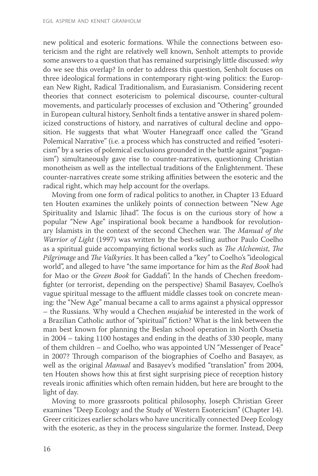new political and esoteric formations. While the connections between esotericism and the right are relatively well known, Senholt attempts to provide some answers to a question that has remained surprisingly little discussed: *why* do we see this overlap? In order to address this question, Senholt focuses on three ideological formations in contemporary right-wing politics: the European New Right, Radical Traditionalism, and Eurasianism. Considering recent theories that connect esotericism to polemical discourse, counter-cultural movements, and particularly processes of exclusion and "Othering" grounded in European cultural history, Senholt finds a tentative answer in shared polemicized constructions of history, and narratives of cultural decline and opposition. He suggests that what Wouter Hanegraaff once called the "Grand Polemical Narrative" (i.e. a process which has constructed and reified "esotericism" by a series of polemical exclusions grounded in the battle against "paganism") simultaneously gave rise to counter-narratives, questioning Christian monotheism as well as the intellectual traditions of the Enlightenment. These counter-narratives create some striking affinities between the esoteric and the radical right, which may help account for the overlaps.

Moving from one form of radical politics to another, in Chapter 13 Eduard ten Houten examines the unlikely points of connection between "New Age Spirituality and Islamic Jihad". The focus is on the curious story of how a popular "New Age" inspirational book became a handbook for revolutionary Islamists in the context of the second Chechen war. The *Manual of the Warrior of Light* (1997) was written by the best-selling author Paulo Coelho as a spiritual guide accompanying fictional works such as *The Alchemist*, *The Pilgrimage* and *The Valkyries*. It has been called a "key" to Coelho's "ideological world", and alleged to have "the same importance for him as the *Red Book* had for Mao or the *Green Book* for Gaddafi". In the hands of Chechen freedomfighter (or terrorist, depending on the perspective) Shamil Basayev, Coelho's vague spiritual message to the affluent middle classes took on concrete meaning: the "New Age" manual became a call to arms against a physical oppressor – the Russians. Why would a Chechen *mujahid* be interested in the work of a Brazilian Catholic author of "spiritual" fiction? What is the link between the man best known for planning the Beslan school operation in North Ossetia in 2004 – taking 1100 hostages and ending in the deaths of 330 people, many of them children – and Coelho, who was appointed UN "Messenger of Peace" in 2007? Through comparison of the biographies of Coelho and Basayev, as well as the original *Manual* and Basayev's modified "translation" from 2004, ten Houten shows how this at first sight surprising piece of reception history reveals ironic affinities which often remain hidden, but here are brought to the light of day.

Moving to more grassroots political philosophy, Joseph Christian Greer examines "Deep Ecology and the Study of Western Esotericism" (Chapter 14). Greer criticizes earlier scholars who have uncritically connected Deep Ecology with the esoteric, as they in the process singularize the former. Instead, Deep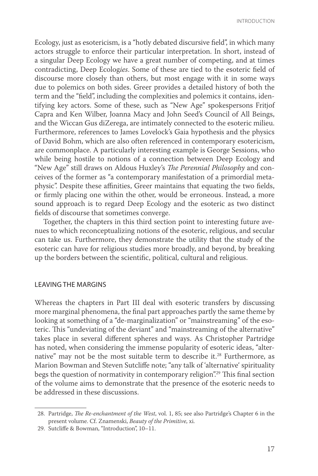Ecology, just as esotericism, is a "hotly debated discursive field", in which many actors struggle to enforce their particular interpretation. In short, instead of a singular Deep Ecology we have a great number of competing, and at times contradicting, Deep Ecolog*ies*. Some of these are tied to the esoteric field of discourse more closely than others, but most engage with it in some ways due to polemics on both sides. Greer provides a detailed history of both the term and the "field", including the complexities and polemics it contains, identifying key actors. Some of these, such as "New Age" spokespersons Fritjof Capra and Ken Wilber, Joanna Macy and John Seed's Council of All Beings, and the Wiccan Gus diZerega, are intimately connected to the esoteric milieu. Furthermore, references to James Lovelock's Gaia hypothesis and the physics of David Bohm, which are also often referenced in contemporary esotericism, are commonplace. A particularly interesting example is George Sessions, who while being hostile to notions of a connection between Deep Ecology and "New Age" still draws on Aldous Huxley's *The Perennial Philosophy* and conceives of the former as "a contemporary manifestation of a primordial metaphysic". Despite these affinities, Greer maintains that equating the two fields, or firmly placing one within the other, would be erroneous. Instead, a more sound approach is to regard Deep Ecology and the esoteric as two distinct fields of discourse that sometimes converge.

Together, the chapters in this third section point to interesting future avenues to which reconceptualizing notions of the esoteric, religious, and secular can take us. Furthermore, they demonstrate the utility that the study of the esoteric can have for religious studies more broadly, and beyond, by breaking up the borders between the scientific, political, cultural and religious.

#### Leaving the margins

Whereas the chapters in Part III deal with esoteric transfers by discussing more marginal phenomena, the final part approaches partly the same theme by looking at something of a "de-marginalization" or "mainstreaming" of the esoteric. This "undeviating of the deviant" and "mainstreaming of the alternative" takes place in several different spheres and ways. As Christopher Partridge has noted, when considering the immense popularity of esoteric ideas, "alternative" may not be the most suitable term to describe it.<sup>28</sup> Furthermore, as Marion Bowman and Steven Sutcliffe note; "any talk of 'alternative' spirituality begs the question of normativity in contemporary religion".29 This final section of the volume aims to demonstrate that the presence of the esoteric needs to be addressed in these discussions.

<sup>28.</sup> Partridge, *The Re-enchantment of the West*, vol. 1, 85; see also Partridge's Chapter 6 in the present volume. Cf. Znamenski, *Beauty of the Primitive*, xi.

<sup>29.</sup> Sutcliffe & Bowman, "Introduction", 10–11.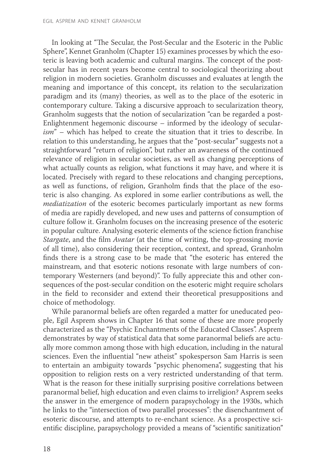In looking at "The Secular, the Post-Secular and the Esoteric in the Public Sphere", Kennet Granholm (Chapter 15) examines processes by which the esoteric is leaving both academic and cultural margins. The concept of the postsecular has in recent years become central to sociological theorizing about religion in modern societies. Granholm discusses and evaluates at length the meaning and importance of this concept, its relation to the secularization paradigm and its (many) theories, as well as to the place of the esoteric in contemporary culture. Taking a discursive approach to secularization theory, Granholm suggests that the notion of secularization "can be regarded a post-Enlightenment hegemonic discourse – informed by the ideology of secular*ism*" – which has helped to create the situation that it tries to describe. In relation to this understanding, he argues that the "post-secular" suggests not a straightforward "return of religion", but rather an awareness of the continued relevance of religion in secular societies, as well as changing perceptions of what actually counts as religion, what functions it may have, and where it is located. Precisely with regard to these relocations and changing perceptions, as well as functions, of religion, Granholm finds that the place of the esoteric is also changing. As explored in some earlier contributions as well, the *mediatization* of the esoteric becomes particularly important as new forms of media are rapidly developed, and new uses and patterns of consumption of culture follow it. Granholm focuses on the increasing presence of the esoteric in popular culture. Analysing esoteric elements of the science fiction franchise *Stargate*, and the film *Avatar* (at the time of writing, the top-grossing movie of all time), also considering their reception, context, and spread, Granholm finds there is a strong case to be made that "the esoteric has entered the mainstream, and that esoteric notions resonate with large numbers of contemporary Westerners (and beyond)". To fully appreciate this and other consequences of the post-secular condition on the esoteric might require scholars in the field to reconsider and extend their theoretical presuppositions and choice of methodology.

While paranormal beliefs are often regarded a matter for uneducated people, Egil Asprem shows in Chapter 16 that some of these are more properly characterized as the "Psychic Enchantments of the Educated Classes". Asprem demonstrates by way of statistical data that some paranormal beliefs are actually more common among those with high education, including in the natural sciences. Even the influential "new atheist" spokesperson Sam Harris is seen to entertain an ambiguity towards "psychic phenomena", suggesting that his opposition to religion rests on a very restricted understanding of that term. What is the reason for these initially surprising positive correlations between paranormal belief, high education and even claims to irreligion? Asprem seeks the answer in the emergence of modern parapsychology in the 1930s, which he links to the "intersection of two parallel processes": the disenchantment of esoteric discourse, and attempts to re-enchant science. As a prospective scientific discipline, parapsychology provided a means of "scientific sanitization"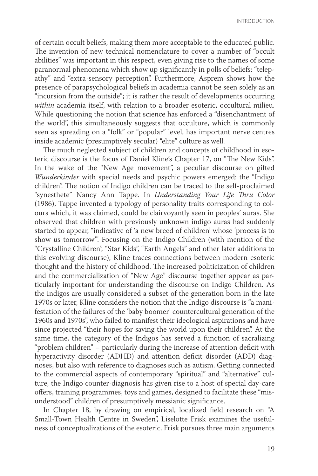of certain occult beliefs, making them more acceptable to the educated public. The invention of new technical nomenclature to cover a number of "occult abilities" was important in this respect, even giving rise to the names of some paranormal phenomena which show up significantly in polls of beliefs: "telepathy" and "extra-sensory perception". Furthermore, Asprem shows how the presence of parapsychological beliefs in academia cannot be seen solely as an "incursion from the outside"; it is rather the result of developments occurring *within* academia itself, with relation to a broader esoteric, occultural milieu. While questioning the notion that science has enforced a "disenchantment of the world", this simultaneously suggests that occulture, which is commonly seen as spreading on a "folk" or "popular" level, has important nerve centres inside academic (presumptively secular) "elite" culture as well.

The much neglected subject of children and concepts of childhood in esoteric discourse is the focus of Daniel Kline's Chapter 17, on "The New Kids". In the wake of the "New Age movement", a peculiar discourse on gifted *Wunderkinder* with special needs and psychic powers emerged: the "Indigo children". The notion of Indigo children can be traced to the self-proclaimed "synesthete" Nancy Ann Tappe. In *Understanding Your Life Thru Color* (1986), Tappe invented a typology of personality traits corresponding to colours which, it was claimed, could be clairvoyantly seen in peoples' auras. She observed that children with previously unknown indigo auras had suddenly started to appear, "indicative of 'a new breed of children' whose 'process is to show us tomorrow'". Focusing on the Indigo Children (with mention of the "Crystalline Children", "Star Kids", "Earth Angels" and other later additions to this evolving discourse), Kline traces connections between modern esoteric thought and the history of childhood. The increased politicization of children and the commercialization of "New Age" discourse together appear as particularly important for understanding the discourse on Indigo Children. As the Indigos are usually considered a subset of the generation born in the late 1970s or later, Kline considers the notion that the Indigo discourse is "a manifestation of the failures of the 'baby boomer' countercultural generation of the 1960s and 1970s", who failed to manifest their ideological aspirations and have since projected "their hopes for saving the world upon their children". At the same time, the category of the Indigos has served a function of sacralizing "problem children" – particularly during the increase of attention deficit with hyperactivity disorder (ADHD) and attention deficit disorder (ADD) diagnoses, but also with reference to diagnoses such as autism. Getting connected to the commercial aspects of contemporary "spiritual" and "alternative" culture, the Indigo counter-diagnosis has given rise to a host of special day-care offers, training programmes, toys and games, designed to facilitate these "misunderstood" children of presumptively messianic significance.

In Chapter 18, by drawing on empirical, localized field research on "A Small-Town Health Centre in Sweden", Liselotte Frisk examines the usefulness of conceptualizations of the esoteric. Frisk pursues three main arguments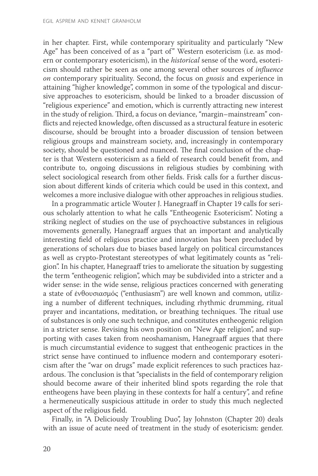in her chapter. First, while contemporary spirituality and particularly "New Age" has been conceived of as a "part of" Western esotericism (i.e. as modern or contemporary esotericism), in the *historical* sense of the word, esotericism should rather be seen as one among several other sources of *influence on* contemporary spirituality. Second, the focus on *gnosis* and experience in attaining "higher knowledge", common in some of the typological and discursive approaches to esotericism, should be linked to a broader discussion of "religious experience" and emotion, which is currently attracting new interest in the study of religion. Third, a focus on deviance, "margin–mainstream" conflicts and rejected knowledge, often discussed as a structural feature in esoteric discourse, should be brought into a broader discussion of tension between religious groups and mainstream society, and, increasingly in contemporary society, should be questioned and nuanced. The final conclusion of the chapter is that Western esotericism as a field of research could benefit from, and contribute to, ongoing discussions in religious studies by combining with select sociological research from other fields. Frisk calls for a further discussion about different kinds of criteria which could be used in this context, and welcomes a more inclusive dialogue with other approaches in religious studies.

In a programmatic article Wouter J. Hanegraaff in Chapter 19 calls for serious scholarly attention to what he calls "Entheogenic Esotericism". Noting a striking neglect of studies on the use of psychoactive substances in religious movements generally, Hanegraaff argues that an important and analytically interesting field of religious practice and innovation has been precluded by generations of scholars due to biases based largely on political circumstances as well as crypto-Protestant stereotypes of what legitimately counts as "religion". In his chapter, Hanegraaff tries to ameliorate the situation by suggesting the term "entheogenic religion", which may be subdivided into a stricter and a wider sense: in the wide sense, religious practices concerned with generating a state of ε'νθουσιασμός ("enthusiasm") are well known and common, utilizing a number of different techniques, including rhythmic drumming, ritual prayer and incantations, meditation, or breathing techniques. The ritual use of substances is only one such technique, and constitutes entheogenic religion in a stricter sense. Revising his own position on "New Age religion", and supporting with cases taken from neoshamanism, Hanegraaff argues that there is much circumstantial evidence to suggest that entheogenic practices in the strict sense have continued to influence modern and contemporary esotericism after the "war on drugs" made explicit references to such practices hazardous. The conclusion is that "specialists in the field of contemporary religion should become aware of their inherited blind spots regarding the role that entheogens have been playing in these contexts for half a century", and refine a hermeneutically suspicious attitude in order to study this much neglected aspect of the religious field.

Finally, in "A Deliciously Troubling Duo", Jay Johnston (Chapter 20) deals with an issue of acute need of treatment in the study of esotericism: gender.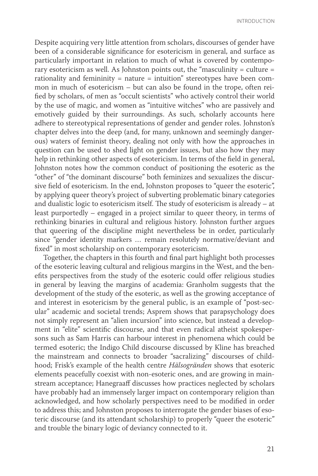Despite acquiring very little attention from scholars, discourses of gender have been of a considerable significance for esotericism in general, and surface as particularly important in relation to much of what is covered by contemporary esotericism as well. As Johnston points out, the "masculinity = culture = rationality and femininity = nature = intuition" stereotypes have been common in much of esotericism – but can also be found in the trope, often reified by scholars, of men as "occult scientists" who actively control their world by the use of magic, and women as "intuitive witches" who are passively and emotively guided by their surroundings. As such, scholarly accounts here adhere to stereotypical representations of gender and gender roles. Johnston's chapter delves into the deep (and, for many, unknown and seemingly dangerous) waters of feminist theory, dealing not only with how the approaches in question can be used to shed light on gender issues, but also how they may help in rethinking other aspects of esotericism. In terms of the field in general, Johnston notes how the common conduct of positioning the esoteric as the "other" of "the dominant discourse" both feminizes and sexualizes the discursive field of esotericism. In the end, Johnston proposes to "queer the esoteric", by applying queer theory's project of subverting problematic binary categories and dualistic logic to esotericism itself. The study of esotericism is already – at least purportedly – engaged in a project similar to queer theory, in terms of rethinking binaries in cultural and religious history. Johnston further argues that queering of the discipline might nevertheless be in order, particularly since "gender identity markers … remain resolutely normative/deviant and fixed" in most scholarship on contemporary esotericism.

Together, the chapters in this fourth and final part highlight both processes of the esoteric leaving cultural and religious margins in the West, and the benefits perspectives from the study of the esoteric could offer religious studies in general by leaving the margins of academia: Granholm suggests that the development of the study of the esoteric, as well as the growing acceptance of and interest in esotericism by the general public, is an example of "post-secular" academic and societal trends; Asprem shows that parapsychology does not simply represent an "alien incursion" into science, but instead a development in "elite" scientific discourse, and that even radical atheist spokespersons such as Sam Harris can harbour interest in phenomena which could be termed esoteric; the Indigo Child discourse discussed by Kline has breached the mainstream and connects to broader "sacralizing" discourses of childhood; Frisk's example of the health centre *Hälsogränden* shows that esoteric elements peacefully coexist with non-esoteric ones, and are growing in mainstream acceptance; Hanegraaff discusses how practices neglected by scholars have probably had an immensely larger impact on contemporary religion than acknowledged, and how scholarly perspectives need to be modified in order to address this; and Johnston proposes to interrogate the gender biases of esoteric discourse (and its attendant scholarship) to properly "queer the esoteric" and trouble the binary logic of deviancy connected to it.

21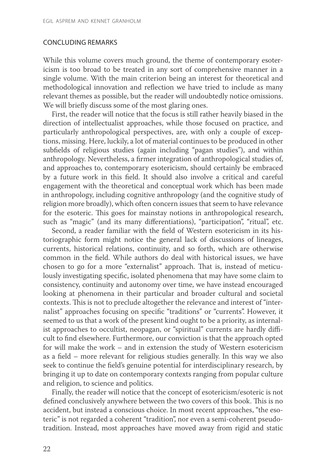#### CONCLUDING REMARKS

While this volume covers much ground, the theme of contemporary esotericism is too broad to be treated in any sort of comprehensive manner in a single volume. With the main criterion being an interest for theoretical and methodological innovation and reflection we have tried to include as many relevant themes as possible, but the reader will undoubtedly notice omissions. We will briefly discuss some of the most glaring ones.

First, the reader will notice that the focus is still rather heavily biased in the direction of intellectualist approaches, while those focused on practice, and particularly anthropological perspectives, are, with only a couple of exceptions, missing. Here, luckily, a lot of material continues to be produced in other subfields of religious studies (again including "pagan studies"), and within anthropology. Nevertheless, a firmer integration of anthropological studies of, and approaches to, contemporary esotericism, should certainly be embraced by a future work in this field. It should also involve a critical and careful engagement with the theoretical and conceptual work which has been made in anthropology, including cognitive anthropology (and the cognitive study of religion more broadly), which often concern issues that seem to have relevance for the esoteric. This goes for mainstay notions in anthropological research, such as "magic" (and its many differentiations), "participation", "ritual", etc.

Second, a reader familiar with the field of Western esotericism in its historiographic form might notice the general lack of discussions of lineages, currents, historical relations, continuity, and so forth, which are otherwise common in the field. While authors do deal with historical issues, we have chosen to go for a more "externalist" approach. That is, instead of meticulously investigating specific, isolated phenomena that may have some claim to consistency, continuity and autonomy over time, we have instead encouraged looking at phenomena in their particular and broader cultural and societal contexts. This is not to preclude altogether the relevance and interest of "internalist" approaches focusing on specific "traditions" or "currents". However, it seemed to us that a work of the present kind ought to be a priority, as internalist approaches to occultist, neopagan, or "spiritual" currents are hardly difficult to find elsewhere. Furthermore, our conviction is that the approach opted for will make the work – and in extension the study of Western esotericism as a field – more relevant for religious studies generally. In this way we also seek to continue the field's genuine potential for interdisciplinary research, by bringing it up to date on contemporary contexts ranging from popular culture and religion, to science and politics.

Finally, the reader will notice that the concept of esotericism/esoteric is not defined conclusively anywhere between the two covers of this book. This is no accident, but instead a conscious choice. In most recent approaches, "the esoteric" is not regarded a coherent "tradition", nor even a semi-coherent pseudotradition. Instead, most approaches have moved away from rigid and static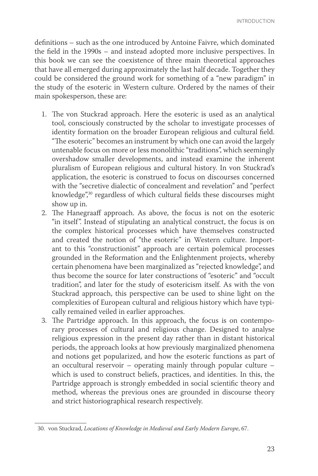definitions – such as the one introduced by Antoine Faivre, which dominated the field in the 1990s – and instead adopted more inclusive perspectives. In this book we can see the coexistence of three main theoretical approaches that have all emerged during approximately the last half decade. Together they could be considered the ground work for something of a "new paradigm" in the study of the esoteric in Western culture. Ordered by the names of their main spokesperson, these are:

- 1. The von Stuckrad approach. Here the esoteric is used as an analytical tool, consciously constructed by the scholar to investigate processes of identity formation on the broader European religious and cultural field. "The esoteric" becomes an instrument by which one can avoid the largely untenable focus on more or less monolithic "traditions", which seemingly overshadow smaller developments, and instead examine the inherent pluralism of European religious and cultural history. In von Stuckrad's application, the esoteric is construed to focus on discourses concerned with the "secretive dialectic of concealment and revelation" and "perfect knowledge",<sup>30</sup> regardless of which cultural fields these discourses might show up in.
- 2. The Hanegraaff approach. As above, the focus is not on the esoteric "in itself". Instead of stipulating an analytical construct, the focus is on the complex historical processes which have themselves constructed and created the notion of "the esoteric" in Western culture. Important to this "constructionist" approach are certain polemical processes grounded in the Reformation and the Enlightenment projects, whereby certain phenomena have been marginalized as "rejected knowledge", and thus become the source for later constructions of "esoteric" and "occult tradition", and later for the study of esotericism itself. As with the von Stuckrad approach, this perspective can be used to shine light on the complexities of European cultural and religious history which have typically remained veiled in earlier approaches.
- 3. The Partridge approach. In this approach, the focus is on contemporary processes of cultural and religious change. Designed to analyse religious expression in the present day rather than in distant historical periods, the approach looks at how previously marginalized phenomena and notions get popularized, and how the esoteric functions as part of an occultural reservoir – operating mainly through popular culture – which is used to construct beliefs, practices, and identities. In this, the Partridge approach is strongly embedded in social scientific theory and method, whereas the previous ones are grounded in discourse theory and strict historiographical research respectively.

<sup>30.</sup> von Stuckrad, *Locations of Knowledge in Medieval and Early Modern Europe*, 67.